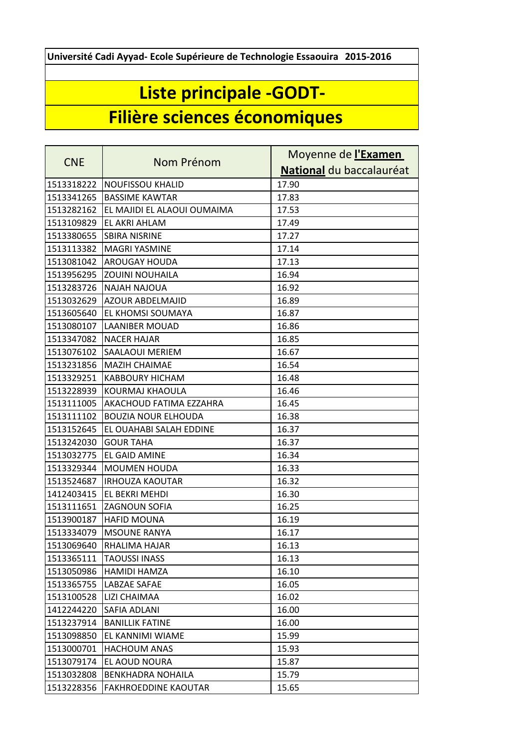**Université Cadi Ayyad- Ecole Supérieure de Technologie Essaouira 2015-2016**

## **Liste principale -GODT-**

## **Filière sciences économiques**

| <b>CNE</b> | Nom Prénom                  | Moyenne de l'Examen      |
|------------|-----------------------------|--------------------------|
|            |                             | National du baccalauréat |
| 1513318222 | <b>NOUFISSOU KHALID</b>     | 17.90                    |
| 1513341265 | <b>BASSIME KAWTAR</b>       | 17.83                    |
| 1513282162 | EL MAJIDI EL ALAOUI OUMAIMA | 17.53                    |
| 1513109829 | EL AKRI AHLAM               | 17.49                    |
| 1513380655 | <b>SBIRA NISRINE</b>        | 17.27                    |
| 1513113382 | <b>MAGRI YASMINE</b>        | 17.14                    |
| 1513081042 | <b>AROUGAY HOUDA</b>        | 17.13                    |
| 1513956295 | <b>ZOUINI NOUHAILA</b>      | 16.94                    |
| 1513283726 | <b>NAJAH NAJOUA</b>         | 16.92                    |
| 1513032629 | <b>AZOUR ABDELMAJID</b>     | 16.89                    |
| 1513605640 | EL KHOMSI SOUMAYA           | 16.87                    |
| 1513080107 | <b>LAANIBER MOUAD</b>       | 16.86                    |
| 1513347082 | <b>NACER HAJAR</b>          | 16.85                    |
| 1513076102 | SAALAOUI MERIEM             | 16.67                    |
| 1513231856 | <b>MAZIH CHAIMAE</b>        | 16.54                    |
| 1513329251 | <b>KABBOURY HICHAM</b>      | 16.48                    |
| 1513228939 | KOURMAJ KHAOULA             | 16.46                    |
| 1513111005 | AKACHOUD FATIMA EZZAHRA     | 16.45                    |
| 1513111102 | <b>BOUZIA NOUR ELHOUDA</b>  | 16.38                    |
| 1513152645 | EL OUAHABI SALAH EDDINE     | 16.37                    |
| 1513242030 | <b>GOUR TAHA</b>            | 16.37                    |
| 1513032775 | EL GAID AMINE               | 16.34                    |
| 1513329344 | <b>MOUMEN HOUDA</b>         | 16.33                    |
| 1513524687 | <b>IRHOUZA KAOUTAR</b>      | 16.32                    |
| 1412403415 | EL BEKRI MEHDI              | 16.30                    |
| 1513111651 | ZAGNOUN SOFIA               | 16.25                    |
| 1513900187 | <b>HAFID MOUNA</b>          | 16.19                    |
| 1513334079 | <b>MSOUNE RANYA</b>         | 16.17                    |
| 1513069640 | RHALIMA HAJAR               | 16.13                    |
| 1513365111 | <b>TAOUSSI INASS</b>        | 16.13                    |
| 1513050986 | HAMIDI HAMZA                | 16.10                    |
| 1513365755 | LABZAE SAFAE                | 16.05                    |
| 1513100528 | LIZI CHAIMAA                | 16.02                    |
| 1412244220 | SAFIA ADLANI                | 16.00                    |
| 1513237914 | <b>BANILLIK FATINE</b>      | 16.00                    |
| 1513098850 | EL KANNIMI WIAME            | 15.99                    |
| 1513000701 | <b>HACHOUM ANAS</b>         | 15.93                    |
| 1513079174 | EL AOUD NOURA               | 15.87                    |
| 1513032808 | <b>BENKHADRA NOHAILA</b>    | 15.79                    |
| 1513228356 | <b>FAKHROEDDINE KAOUTAR</b> | 15.65                    |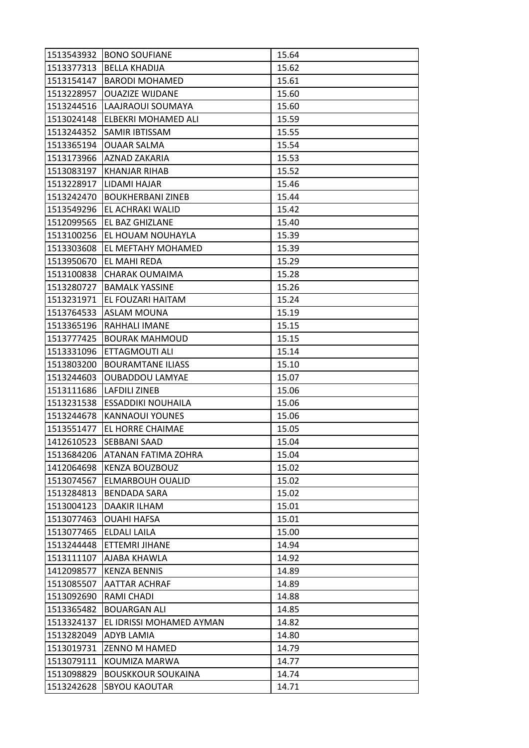| 1513543932 | <b>BONO SOUFIANE</b>       | 15.64 |
|------------|----------------------------|-------|
| 1513377313 | <b>BELLA KHADIJA</b>       | 15.62 |
| 1513154147 | <b>BARODI MOHAMED</b>      | 15.61 |
| 1513228957 | <b>OUAZIZE WIJDANE</b>     | 15.60 |
| 1513244516 | LAAJRAOUI SOUMAYA          | 15.60 |
| 1513024148 | ELBEKRI MOHAMED ALI        | 15.59 |
| 1513244352 | SAMIR IBTISSAM             | 15.55 |
| 1513365194 | <b>OUAAR SALMA</b>         | 15.54 |
| 1513173966 | <b>AZNAD ZAKARIA</b>       | 15.53 |
| 1513083197 | KHANJAR RIHAB              | 15.52 |
| 1513228917 | LIDAMI HAJAR               | 15.46 |
| 1513242470 | <b>BOUKHERBANI ZINEB</b>   | 15.44 |
| 1513549296 | EL ACHRAKI WALID           | 15.42 |
| 1512099565 | <b>EL BAZ GHIZLANE</b>     | 15.40 |
| 1513100256 | EL HOUAM NOUHAYLA          | 15.39 |
| 1513303608 | EL MEFTAHY MOHAMED         | 15.39 |
| 1513950670 | EL MAHI REDA               | 15.29 |
| 1513100838 | CHARAK OUMAIMA             | 15.28 |
| 1513280727 | <b>BAMALK YASSINE</b>      | 15.26 |
| 1513231971 | EL FOUZARI HAITAM          | 15.24 |
| 1513764533 | ASLAM MOUNA                | 15.19 |
| 1513365196 | RAHHALI IMANE              | 15.15 |
| 1513777425 | <b>BOURAK MAHMOUD</b>      | 15.15 |
| 1513331096 | ETTAGMOUTI ALI             | 15.14 |
| 1513803200 | <b>BOURAMTANE ILIASS</b>   | 15.10 |
| 1513244603 | <b>OUBADDOU LAMYAE</b>     | 15.07 |
| 1513111686 | <b>LAFDILI ZINEB</b>       | 15.06 |
| 1513231538 | <b>ESSADDIKI NOUHAILA</b>  | 15.06 |
| 1513244678 | <b>KANNAOUI YOUNES</b>     | 15.06 |
| 1513551477 | EL HORRE CHAIMAE           | 15.05 |
| 1412610523 | <b>SEBBANI SAAD</b>        | 15.04 |
| 1513684206 | <b>ATANAN FATIMA ZOHRA</b> | 15.04 |
| 1412064698 | <b>KENZA BOUZBOUZ</b>      | 15.02 |
| 1513074567 | ELMARBOUH OUALID           | 15.02 |
| 1513284813 | BENDADA SARA               | 15.02 |
| 1513004123 | DAAKIR ILHAM               | 15.01 |
| 1513077463 | OUAHI HAFSA                | 15.01 |
| 1513077465 | ELDALI LAILA               | 15.00 |
| 1513244448 | ETTEMRI JIHANE             | 14.94 |
| 1513111107 | AJABA KHAWLA               | 14.92 |
| 1412098577 | <b>KENZA BENNIS</b>        | 14.89 |
| 1513085507 | AATTAR ACHRAF              | 14.89 |
| 1513092690 | RAMI CHADI                 | 14.88 |
| 1513365482 | <b>BOUARGAN ALI</b>        | 14.85 |
| 1513324137 | EL IDRISSI MOHAMED AYMAN   | 14.82 |
| 1513282049 | ADYB LAMIA                 | 14.80 |
| 1513019731 | <b>ZENNO M HAMED</b>       | 14.79 |
| 1513079111 | KOUMIZA MARWA              | 14.77 |
| 1513098829 | <b>BOUSKKOUR SOUKAINA</b>  | 14.74 |
| 1513242628 | <b>SBYOU KAOUTAR</b>       | 14.71 |